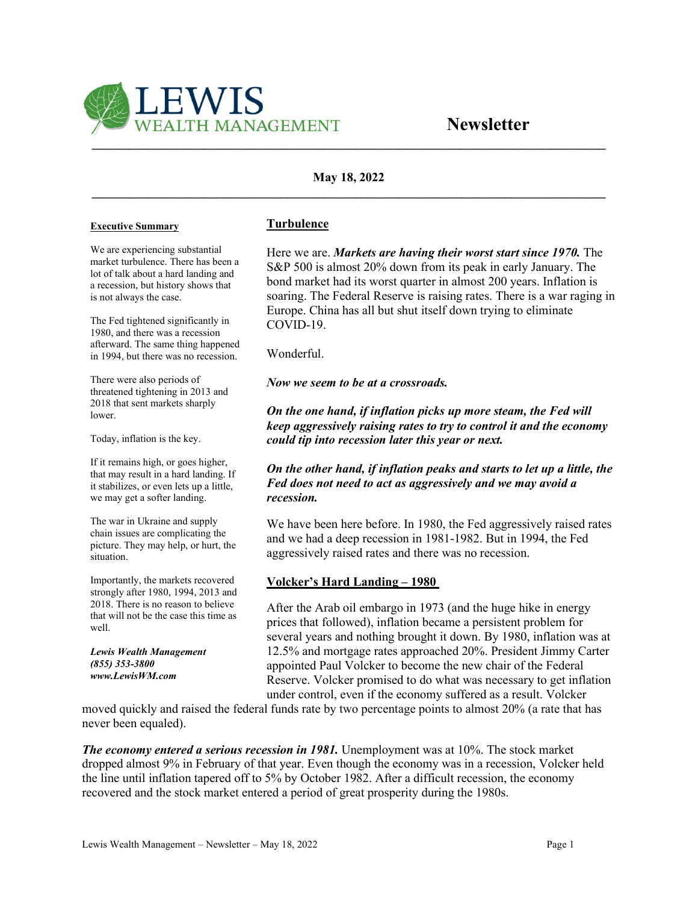

# **May 18, 2022 \_\_\_\_\_\_\_\_\_\_\_\_\_\_\_\_\_\_\_\_\_\_\_\_\_\_\_\_\_\_\_\_\_\_\_\_\_\_\_\_\_\_\_\_\_\_\_\_\_\_\_\_\_\_\_\_\_\_\_\_\_\_\_\_\_\_\_\_\_\_\_\_\_\_\_\_\_\_\_\_\_\_**

#### **Executive Summary**

We are experiencing substantial market turbulence. There has been a lot of talk about a hard landing and a recession, but history shows that is not always the case.

The Fed tightened significantly in 1980, and there was a recession afterward. The same thing happened in 1994, but there was no recession.

There were also periods of threatened tightening in 2013 and 2018 that sent markets sharply lower.

Today, inflation is the key.

If it remains high, or goes higher, that may result in a hard landing. If it stabilizes, or even lets up a little, we may get a softer landing.

The war in Ukraine and supply chain issues are complicating the picture. They may help, or hurt, the situation.

Importantly, the markets recovered strongly after 1980, 1994, 2013 and 2018. There is no reason to believe that will not be the case this time as well.

*Lewis Wealth Management (855) 353-3800 www.LewisWM.com* 

## **Turbulence**

Here we are. *Markets are having their worst start since 1970.* The S&P 500 is almost 20% down from its peak in early January. The bond market had its worst quarter in almost 200 years. Inflation is soaring. The Federal Reserve is raising rates. There is a war raging in Europe. China has all but shut itself down trying to eliminate COVID-19.

Wonderful.

*Now we seem to be at a crossroads.*

*On the one hand, if inflation picks up more steam, the Fed will keep aggressively raising rates to try to control it and the economy could tip into recession later this year or next.*

## *On the other hand, if inflation peaks and starts to let up a little, the Fed does not need to act as aggressively and we may avoid a recession.*

We have been here before. In 1980, the Fed aggressively raised rates and we had a deep recession in 1981-1982. But in 1994, the Fed aggressively raised rates and there was no recession.

## **Volcker's Hard Landing – 1980**

After the Arab oil embargo in 1973 (and the huge hike in energy prices that followed), inflation became a persistent problem for several years and nothing brought it down. By 1980, inflation was at 12.5% and mortgage rates approached 20%. President Jimmy Carter appointed Paul Volcker to become the new chair of the Federal Reserve. Volcker promised to do what was necessary to get inflation under control, even if the economy suffered as a result. Volcker

moved quickly and raised the federal funds rate by two percentage points to almost 20% (a rate that has never been equaled).

*The economy entered a serious recession in 1981.* Unemployment was at 10%. The stock market dropped almost 9% in February of that year. Even though the economy was in a recession, Volcker held the line until inflation tapered off to 5% by October 1982. After a difficult recession, the economy recovered and the stock market entered a period of great prosperity during the 1980s.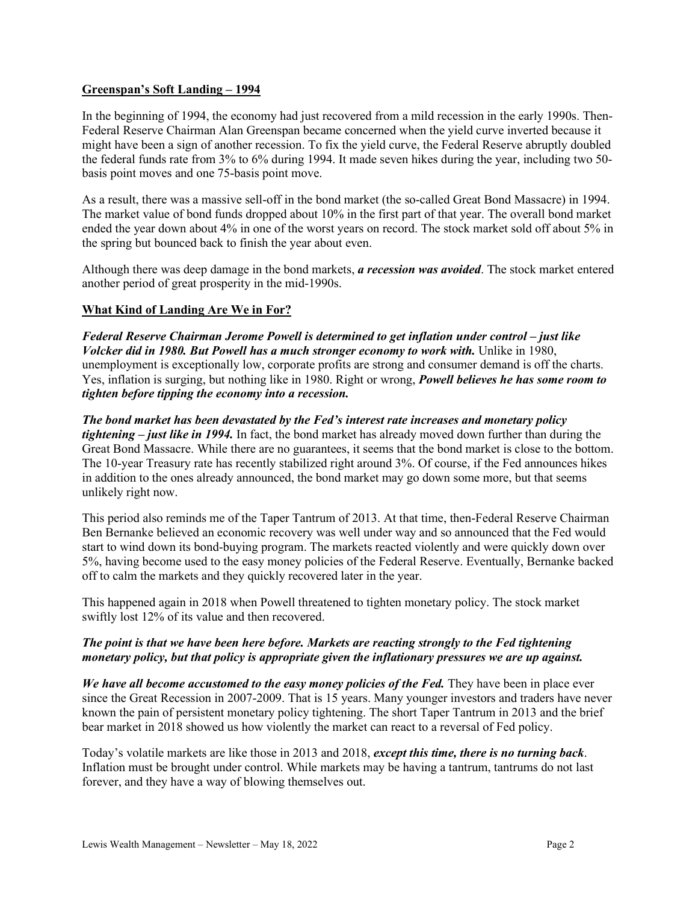### **Greenspan's Soft Landing – 1994**

In the beginning of 1994, the economy had just recovered from a mild recession in the early 1990s. Then-Federal Reserve Chairman Alan Greenspan became concerned when the yield curve inverted because it might have been a sign of another recession. To fix the yield curve, the Federal Reserve abruptly doubled the federal funds rate from 3% to 6% during 1994. It made seven hikes during the year, including two 50 basis point moves and one 75-basis point move.

As a result, there was a massive sell-off in the bond market (the so-called Great Bond Massacre) in 1994. The market value of bond funds dropped about 10% in the first part of that year. The overall bond market ended the year down about 4% in one of the worst years on record. The stock market sold off about 5% in the spring but bounced back to finish the year about even.

Although there was deep damage in the bond markets, *a recession was avoided*. The stock market entered another period of great prosperity in the mid-1990s.

## **What Kind of Landing Are We in For?**

*Federal Reserve Chairman Jerome Powell is determined to get inflation under control – just like Volcker did in 1980. But Powell has a much stronger economy to work with.* Unlike in 1980, unemployment is exceptionally low, corporate profits are strong and consumer demand is off the charts. Yes, inflation is surging, but nothing like in 1980. Right or wrong, *Powell believes he has some room to tighten before tipping the economy into a recession.*

*The bond market has been devastated by the Fed's interest rate increases and monetary policy tightening – just like in 1994.* In fact, the bond market has already moved down further than during the Great Bond Massacre. While there are no guarantees, it seems that the bond market is close to the bottom. The 10-year Treasury rate has recently stabilized right around 3%. Of course, if the Fed announces hikes in addition to the ones already announced, the bond market may go down some more, but that seems unlikely right now.

This period also reminds me of the Taper Tantrum of 2013. At that time, then-Federal Reserve Chairman Ben Bernanke believed an economic recovery was well under way and so announced that the Fed would start to wind down its bond-buying program. The markets reacted violently and were quickly down over 5%, having become used to the easy money policies of the Federal Reserve. Eventually, Bernanke backed off to calm the markets and they quickly recovered later in the year.

This happened again in 2018 when Powell threatened to tighten monetary policy. The stock market swiftly lost 12% of its value and then recovered.

## *The point is that we have been here before. Markets are reacting strongly to the Fed tightening monetary policy, but that policy is appropriate given the inflationary pressures we are up against.*

*We have all become accustomed to the easy money policies of the Fed.* They have been in place ever since the Great Recession in 2007-2009. That is 15 years. Many younger investors and traders have never known the pain of persistent monetary policy tightening. The short Taper Tantrum in 2013 and the brief bear market in 2018 showed us how violently the market can react to a reversal of Fed policy.

Today's volatile markets are like those in 2013 and 2018, *except this time, there is no turning back*. Inflation must be brought under control. While markets may be having a tantrum, tantrums do not last forever, and they have a way of blowing themselves out.